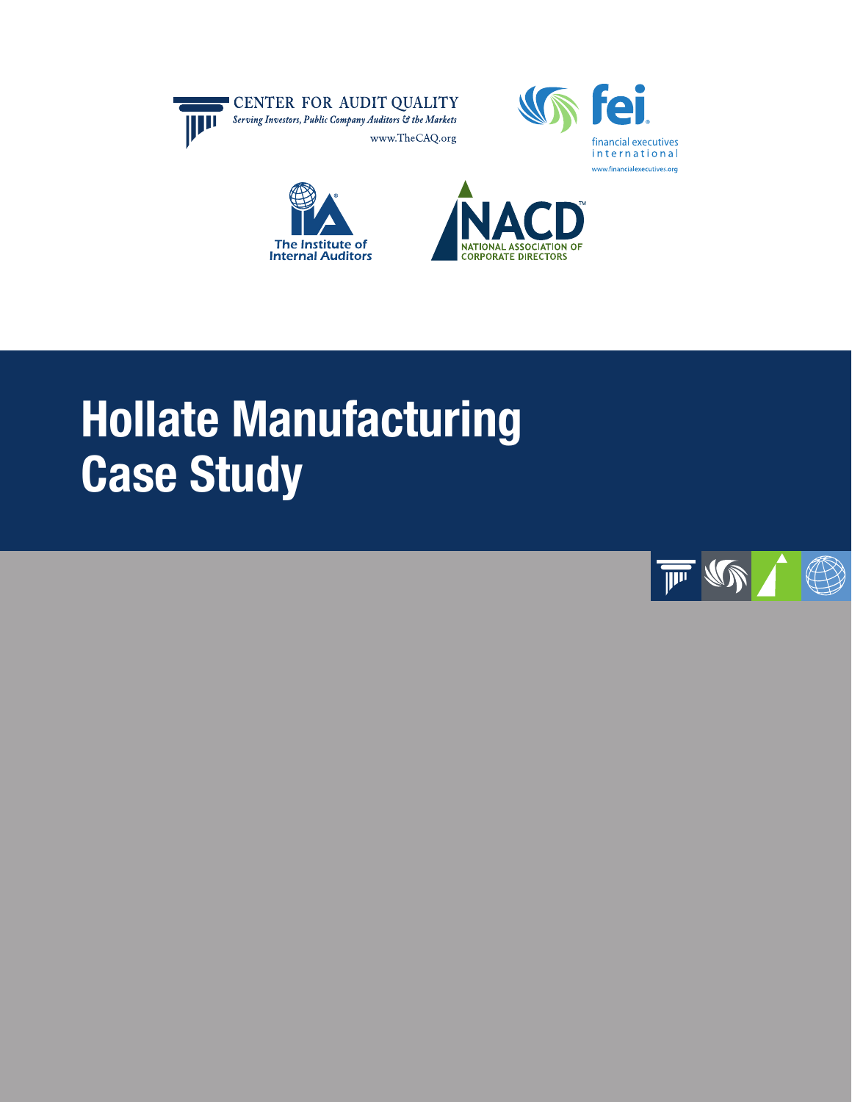







# Hollate Manufacturing Case Study

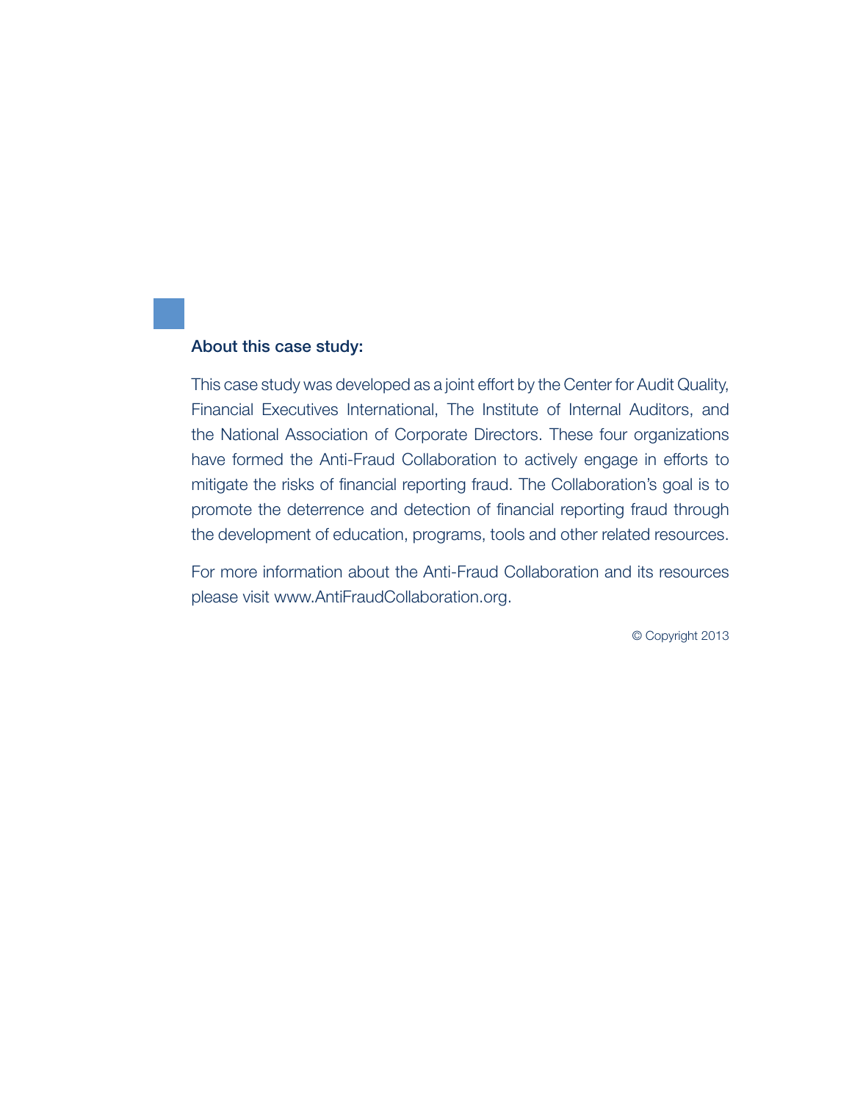#### About this case study:

This case study was developed as a joint effort by the Center for Audit Quality, Financial Executives International, The Institute of Internal Auditors, and the National Association of Corporate Directors. These four organizations have formed the Anti-Fraud Collaboration to actively engage in efforts to mitigate the risks of financial reporting fraud. The Collaboration's goal is to promote the deterrence and detection of financial reporting fraud through the development of education, programs, tools and other related resources.

For more information about the Anti-Fraud Collaboration and its resources please visit www.AntiFraudCollaboration.org.

© Copyright 2013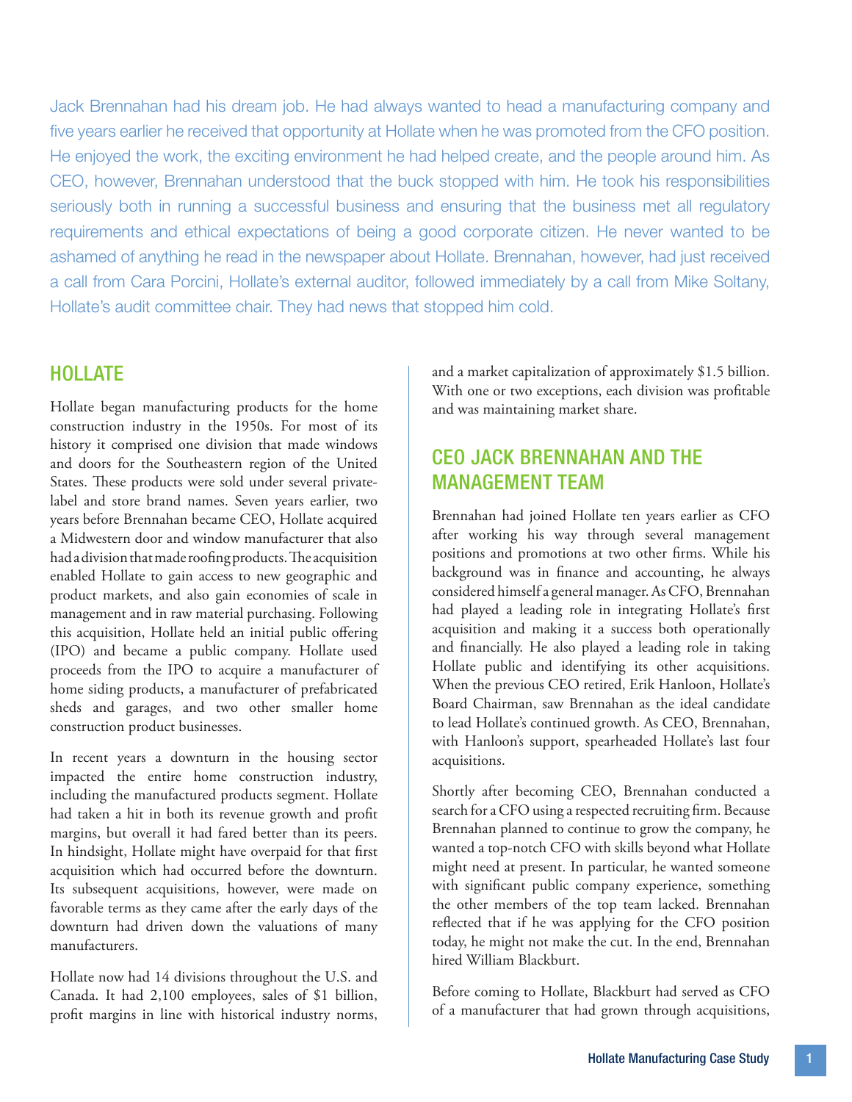Jack Brennahan had his dream job. He had always wanted to head a manufacturing company and five years earlier he received that opportunity at Hollate when he was promoted from the CFO position. He enjoyed the work, the exciting environment he had helped create, and the people around him. As CEO, however, Brennahan understood that the buck stopped with him. He took his responsibilities seriously both in running a successful business and ensuring that the business met all regulatory requirements and ethical expectations of being a good corporate citizen. He never wanted to be ashamed of anything he read in the newspaper about Hollate. Brennahan, however, had just received a call from Cara Porcini, Hollate's external auditor, followed immediately by a call from Mike Soltany, Hollate's audit committee chair. They had news that stopped him cold.

### **HOLLATE**

Hollate began manufacturing products for the home construction industry in the 1950s. For most of its history it comprised one division that made windows and doors for the Southeastern region of the United States. These products were sold under several privatelabel and store brand names. Seven years earlier, two years before Brennahan became CEO, Hollate acquired a Midwestern door and window manufacturer that also had a division that made roofing products. The acquisition enabled Hollate to gain access to new geographic and product markets, and also gain economies of scale in management and in raw material purchasing. Following this acquisition, Hollate held an initial public offering (IPO) and became a public company. Hollate used proceeds from the IPO to acquire a manufacturer of home siding products, a manufacturer of prefabricated sheds and garages, and two other smaller home construction product businesses.

In recent years a downturn in the housing sector impacted the entire home construction industry, including the manufactured products segment. Hollate had taken a hit in both its revenue growth and profit margins, but overall it had fared better than its peers. In hindsight, Hollate might have overpaid for that first acquisition which had occurred before the downturn. Its subsequent acquisitions, however, were made on favorable terms as they came after the early days of the downturn had driven down the valuations of many manufacturers.

Hollate now had 14 divisions throughout the U.S. and Canada. It had 2,100 employees, sales of \$1 billion, profit margins in line with historical industry norms,

and a market capitalization of approximately \$1.5 billion. With one or two exceptions, each division was profitable and was maintaining market share.

## CEO Jack Brennahan and the Management Team

Brennahan had joined Hollate ten years earlier as CFO after working his way through several management positions and promotions at two other firms. While his background was in finance and accounting, he always considered himself a general manager. As CFO, Brennahan had played a leading role in integrating Hollate's first acquisition and making it a success both operationally and financially. He also played a leading role in taking Hollate public and identifying its other acquisitions. When the previous CEO retired, Erik Hanloon, Hollate's Board Chairman, saw Brennahan as the ideal candidate to lead Hollate's continued growth. As CEO, Brennahan, with Hanloon's support, spearheaded Hollate's last four acquisitions.

Shortly after becoming CEO, Brennahan conducted a search for a CFO using a respected recruiting firm. Because Brennahan planned to continue to grow the company, he wanted a top-notch CFO with skills beyond what Hollate might need at present. In particular, he wanted someone with significant public company experience, something the other members of the top team lacked. Brennahan reflected that if he was applying for the CFO position today, he might not make the cut. In the end, Brennahan hired William Blackburt.

Before coming to Hollate, Blackburt had served as CFO of a manufacturer that had grown through acquisitions,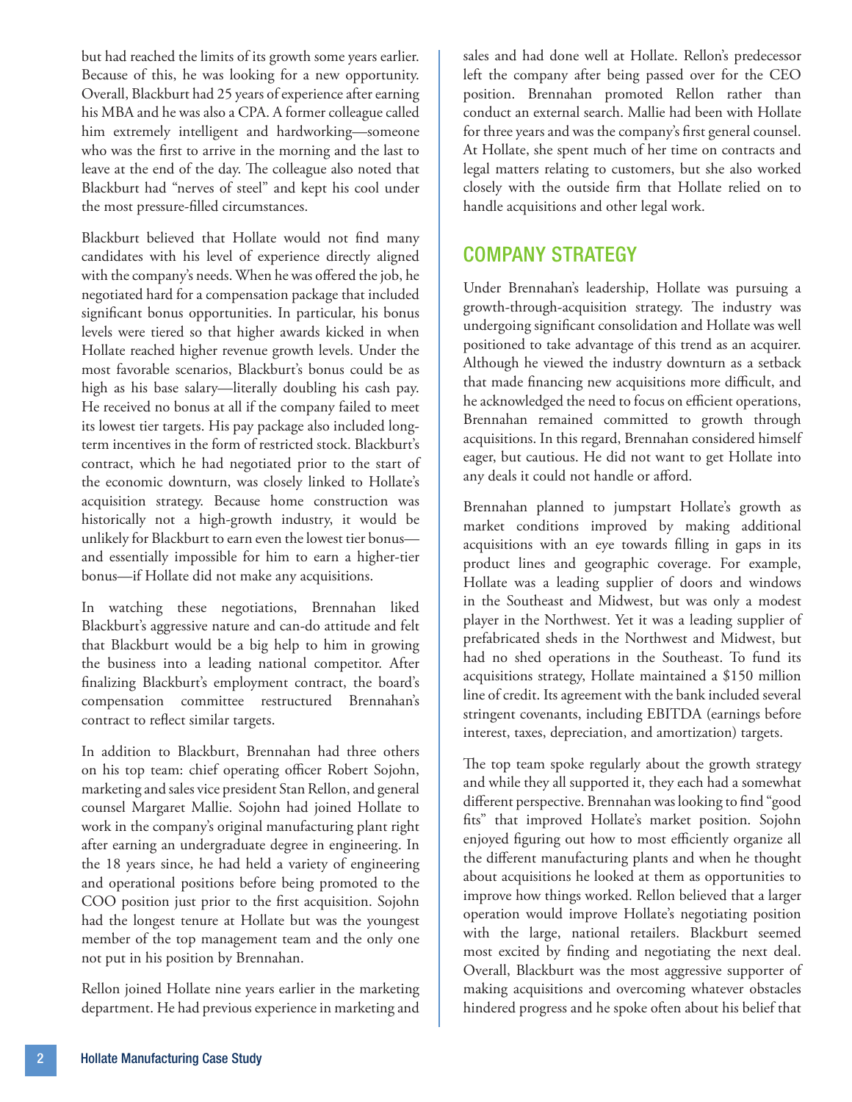but had reached the limits of its growth some years earlier. Because of this, he was looking for a new opportunity. Overall, Blackburt had 25 years of experience after earning his MBA and he was also a CPA. A former colleague called him extremely intelligent and hardworking—someone who was the first to arrive in the morning and the last to leave at the end of the day. The colleague also noted that Blackburt had "nerves of steel" and kept his cool under the most pressure-filled circumstances.

Blackburt believed that Hollate would not find many candidates with his level of experience directly aligned with the company's needs. When he was offered the job, he negotiated hard for a compensation package that included significant bonus opportunities. In particular, his bonus levels were tiered so that higher awards kicked in when Hollate reached higher revenue growth levels. Under the most favorable scenarios, Blackburt's bonus could be as high as his base salary—literally doubling his cash pay. He received no bonus at all if the company failed to meet its lowest tier targets. His pay package also included longterm incentives in the form of restricted stock. Blackburt's contract, which he had negotiated prior to the start of the economic downturn, was closely linked to Hollate's acquisition strategy. Because home construction was historically not a high-growth industry, it would be unlikely for Blackburt to earn even the lowest tier bonus and essentially impossible for him to earn a higher-tier bonus—if Hollate did not make any acquisitions.

In watching these negotiations, Brennahan liked Blackburt's aggressive nature and can-do attitude and felt that Blackburt would be a big help to him in growing the business into a leading national competitor. After finalizing Blackburt's employment contract, the board's compensation committee restructured Brennahan's contract to reflect similar targets.

In addition to Blackburt, Brennahan had three others on his top team: chief operating officer Robert Sojohn, marketing and sales vice president Stan Rellon, and general counsel Margaret Mallie. Sojohn had joined Hollate to work in the company's original manufacturing plant right after earning an undergraduate degree in engineering. In the 18 years since, he had held a variety of engineering and operational positions before being promoted to the COO position just prior to the first acquisition. Sojohn had the longest tenure at Hollate but was the youngest member of the top management team and the only one not put in his position by Brennahan.

Rellon joined Hollate nine years earlier in the marketing department. He had previous experience in marketing and sales and had done well at Hollate. Rellon's predecessor left the company after being passed over for the CEO position. Brennahan promoted Rellon rather than conduct an external search. Mallie had been with Hollate for three years and was the company's first general counsel. At Hollate, she spent much of her time on contracts and legal matters relating to customers, but she also worked closely with the outside firm that Hollate relied on to handle acquisitions and other legal work.

## Company Strategy

Under Brennahan's leadership, Hollate was pursuing a growth-through-acquisition strategy. The industry was undergoing significant consolidation and Hollate was well positioned to take advantage of this trend as an acquirer. Although he viewed the industry downturn as a setback that made financing new acquisitions more difficult, and he acknowledged the need to focus on efficient operations, Brennahan remained committed to growth through acquisitions. In this regard, Brennahan considered himself eager, but cautious. He did not want to get Hollate into any deals it could not handle or afford.

Brennahan planned to jumpstart Hollate's growth as market conditions improved by making additional acquisitions with an eye towards filling in gaps in its product lines and geographic coverage. For example, Hollate was a leading supplier of doors and windows in the Southeast and Midwest, but was only a modest player in the Northwest. Yet it was a leading supplier of prefabricated sheds in the Northwest and Midwest, but had no shed operations in the Southeast. To fund its acquisitions strategy, Hollate maintained a \$150 million line of credit. Its agreement with the bank included several stringent covenants, including EBITDA (earnings before interest, taxes, depreciation, and amortization) targets.

The top team spoke regularly about the growth strategy and while they all supported it, they each had a somewhat different perspective. Brennahan was looking to find "good fits" that improved Hollate's market position. Sojohn enjoyed figuring out how to most efficiently organize all the different manufacturing plants and when he thought about acquisitions he looked at them as opportunities to improve how things worked. Rellon believed that a larger operation would improve Hollate's negotiating position with the large, national retailers. Blackburt seemed most excited by finding and negotiating the next deal. Overall, Blackburt was the most aggressive supporter of making acquisitions and overcoming whatever obstacles hindered progress and he spoke often about his belief that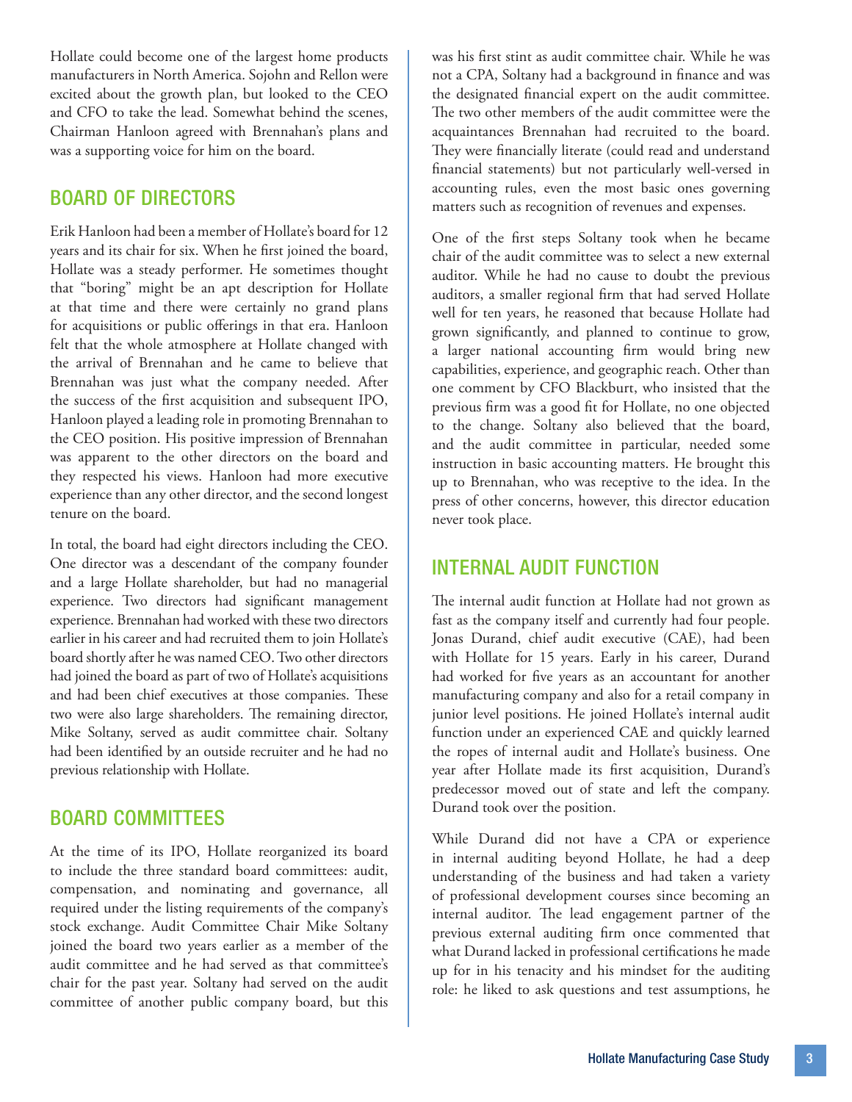Hollate could become one of the largest home products manufacturers in North America. Sojohn and Rellon were excited about the growth plan, but looked to the CEO and CFO to take the lead. Somewhat behind the scenes, Chairman Hanloon agreed with Brennahan's plans and was a supporting voice for him on the board.

#### Board of Directors

Erik Hanloon had been a member of Hollate's board for 12 years and its chair for six. When he first joined the board, Hollate was a steady performer. He sometimes thought that "boring" might be an apt description for Hollate at that time and there were certainly no grand plans for acquisitions or public offerings in that era. Hanloon felt that the whole atmosphere at Hollate changed with the arrival of Brennahan and he came to believe that Brennahan was just what the company needed. After the success of the first acquisition and subsequent IPO, Hanloon played a leading role in promoting Brennahan to the CEO position. His positive impression of Brennahan was apparent to the other directors on the board and they respected his views. Hanloon had more executive experience than any other director, and the second longest tenure on the board.

In total, the board had eight directors including the CEO. One director was a descendant of the company founder and a large Hollate shareholder, but had no managerial experience. Two directors had significant management experience. Brennahan had worked with these two directors earlier in his career and had recruited them to join Hollate's board shortly after he was named CEO. Two other directors had joined the board as part of two of Hollate's acquisitions and had been chief executives at those companies. These two were also large shareholders. The remaining director, Mike Soltany, served as audit committee chair. Soltany had been identified by an outside recruiter and he had no previous relationship with Hollate.

#### Board Committees

At the time of its IPO, Hollate reorganized its board to include the three standard board committees: audit, compensation, and nominating and governance, all required under the listing requirements of the company's stock exchange. Audit Committee Chair Mike Soltany joined the board two years earlier as a member of the audit committee and he had served as that committee's chair for the past year. Soltany had served on the audit committee of another public company board, but this was his first stint as audit committee chair. While he was not a CPA, Soltany had a background in finance and was the designated financial expert on the audit committee. The two other members of the audit committee were the acquaintances Brennahan had recruited to the board. They were financially literate (could read and understand financial statements) but not particularly well-versed in accounting rules, even the most basic ones governing matters such as recognition of revenues and expenses.

One of the first steps Soltany took when he became chair of the audit committee was to select a new external auditor. While he had no cause to doubt the previous auditors, a smaller regional firm that had served Hollate well for ten years, he reasoned that because Hollate had grown significantly, and planned to continue to grow, a larger national accounting firm would bring new capabilities, experience, and geographic reach. Other than one comment by CFO Blackburt, who insisted that the previous firm was a good fit for Hollate, no one objected to the change. Soltany also believed that the board, and the audit committee in particular, needed some instruction in basic accounting matters. He brought this up to Brennahan, who was receptive to the idea. In the press of other concerns, however, this director education never took place.

## Internal Audit Function

The internal audit function at Hollate had not grown as fast as the company itself and currently had four people. Jonas Durand, chief audit executive (CAE), had been with Hollate for 15 years. Early in his career, Durand had worked for five years as an accountant for another manufacturing company and also for a retail company in junior level positions. He joined Hollate's internal audit function under an experienced CAE and quickly learned the ropes of internal audit and Hollate's business. One year after Hollate made its first acquisition, Durand's predecessor moved out of state and left the company. Durand took over the position.

While Durand did not have a CPA or experience in internal auditing beyond Hollate, he had a deep understanding of the business and had taken a variety of professional development courses since becoming an internal auditor. The lead engagement partner of the previous external auditing firm once commented that what Durand lacked in professional certifications he made up for in his tenacity and his mindset for the auditing role: he liked to ask questions and test assumptions, he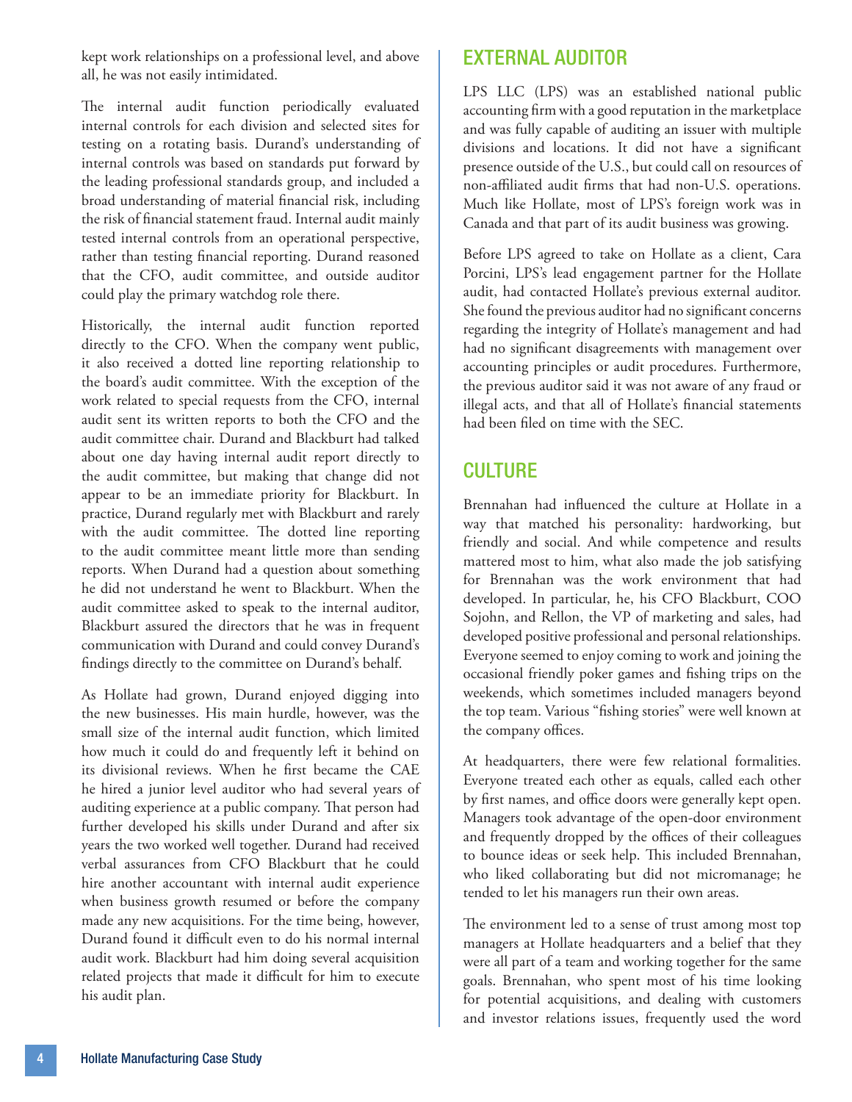kept work relationships on a professional level, and above all, he was not easily intimidated.

The internal audit function periodically evaluated internal controls for each division and selected sites for testing on a rotating basis. Durand's understanding of internal controls was based on standards put forward by the leading professional standards group, and included a broad understanding of material financial risk, including the risk of financial statement fraud. Internal audit mainly tested internal controls from an operational perspective, rather than testing financial reporting. Durand reasoned that the CFO, audit committee, and outside auditor could play the primary watchdog role there.

Historically, the internal audit function reported directly to the CFO. When the company went public, it also received a dotted line reporting relationship to the board's audit committee. With the exception of the work related to special requests from the CFO, internal audit sent its written reports to both the CFO and the audit committee chair. Durand and Blackburt had talked about one day having internal audit report directly to the audit committee, but making that change did not appear to be an immediate priority for Blackburt. In practice, Durand regularly met with Blackburt and rarely with the audit committee. The dotted line reporting to the audit committee meant little more than sending reports. When Durand had a question about something he did not understand he went to Blackburt. When the audit committee asked to speak to the internal auditor, Blackburt assured the directors that he was in frequent communication with Durand and could convey Durand's findings directly to the committee on Durand's behalf.

As Hollate had grown, Durand enjoyed digging into the new businesses. His main hurdle, however, was the small size of the internal audit function, which limited how much it could do and frequently left it behind on its divisional reviews. When he first became the CAE he hired a junior level auditor who had several years of auditing experience at a public company. That person had further developed his skills under Durand and after six years the two worked well together. Durand had received verbal assurances from CFO Blackburt that he could hire another accountant with internal audit experience when business growth resumed or before the company made any new acquisitions. For the time being, however, Durand found it difficult even to do his normal internal audit work. Blackburt had him doing several acquisition related projects that made it difficult for him to execute his audit plan.

## External Auditor

LPS LLC (LPS) was an established national public accounting firm with a good reputation in the marketplace and was fully capable of auditing an issuer with multiple divisions and locations. It did not have a significant presence outside of the U.S., but could call on resources of non-affiliated audit firms that had non-U.S. operations. Much like Hollate, most of LPS's foreign work was in Canada and that part of its audit business was growing.

Before LPS agreed to take on Hollate as a client, Cara Porcini, LPS's lead engagement partner for the Hollate audit, had contacted Hollate's previous external auditor. She found the previous auditor had no significant concerns regarding the integrity of Hollate's management and had had no significant disagreements with management over accounting principles or audit procedures. Furthermore, the previous auditor said it was not aware of any fraud or illegal acts, and that all of Hollate's financial statements had been filed on time with the SEC.

## **CULTURE**

Brennahan had influenced the culture at Hollate in a way that matched his personality: hardworking, but friendly and social. And while competence and results mattered most to him, what also made the job satisfying for Brennahan was the work environment that had developed. In particular, he, his CFO Blackburt, COO Sojohn, and Rellon, the VP of marketing and sales, had developed positive professional and personal relationships. Everyone seemed to enjoy coming to work and joining the occasional friendly poker games and fishing trips on the weekends, which sometimes included managers beyond the top team. Various "fishing stories" were well known at the company offices.

At headquarters, there were few relational formalities. Everyone treated each other as equals, called each other by first names, and office doors were generally kept open. Managers took advantage of the open-door environment and frequently dropped by the offices of their colleagues to bounce ideas or seek help. This included Brennahan, who liked collaborating but did not micromanage; he tended to let his managers run their own areas.

The environment led to a sense of trust among most top managers at Hollate headquarters and a belief that they were all part of a team and working together for the same goals. Brennahan, who spent most of his time looking for potential acquisitions, and dealing with customers and investor relations issues, frequently used the word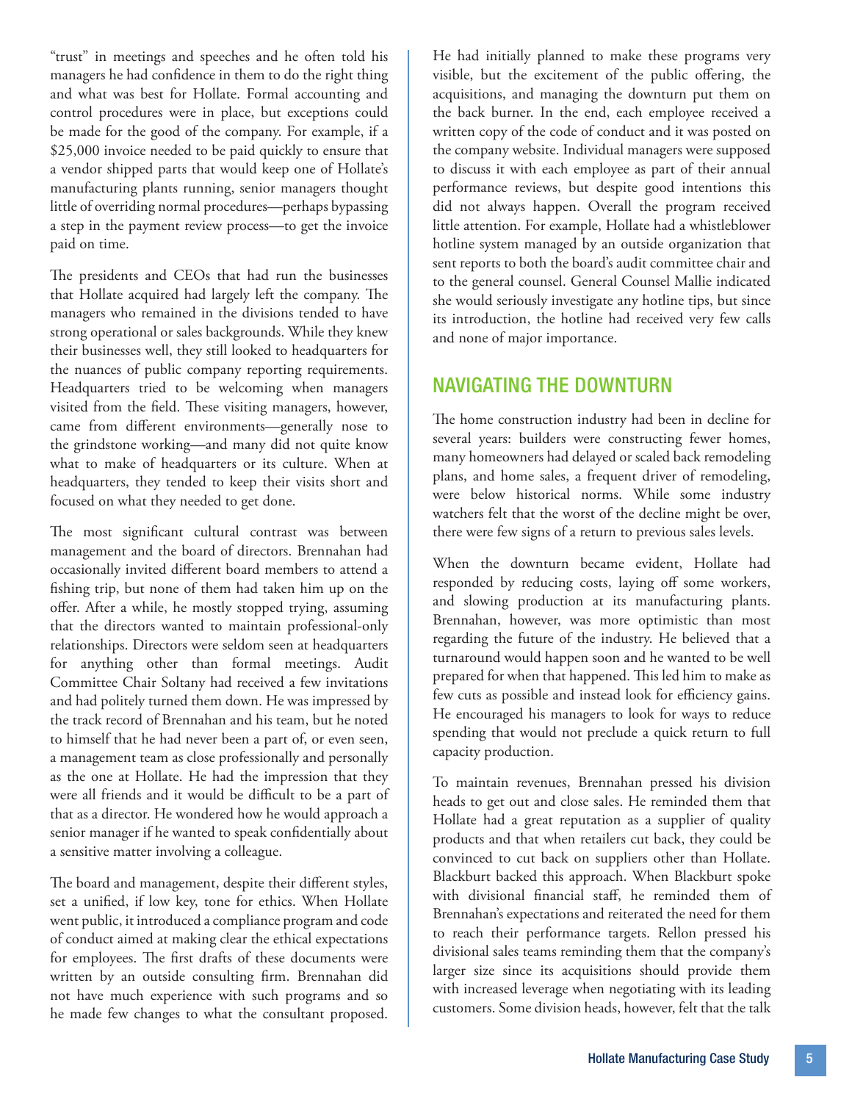"trust" in meetings and speeches and he often told his managers he had confidence in them to do the right thing and what was best for Hollate. Formal accounting and control procedures were in place, but exceptions could be made for the good of the company. For example, if a \$25,000 invoice needed to be paid quickly to ensure that a vendor shipped parts that would keep one of Hollate's manufacturing plants running, senior managers thought little of overriding normal procedures—perhaps bypassing a step in the payment review process—to get the invoice paid on time.

The presidents and CEOs that had run the businesses that Hollate acquired had largely left the company. The managers who remained in the divisions tended to have strong operational or sales backgrounds. While they knew their businesses well, they still looked to headquarters for the nuances of public company reporting requirements. Headquarters tried to be welcoming when managers visited from the field. These visiting managers, however, came from different environments—generally nose to the grindstone working—and many did not quite know what to make of headquarters or its culture. When at headquarters, they tended to keep their visits short and focused on what they needed to get done.

The most significant cultural contrast was between management and the board of directors. Brennahan had occasionally invited different board members to attend a fishing trip, but none of them had taken him up on the offer. After a while, he mostly stopped trying, assuming that the directors wanted to maintain professional-only relationships. Directors were seldom seen at headquarters for anything other than formal meetings. Audit Committee Chair Soltany had received a few invitations and had politely turned them down. He was impressed by the track record of Brennahan and his team, but he noted to himself that he had never been a part of, or even seen, a management team as close professionally and personally as the one at Hollate. He had the impression that they were all friends and it would be difficult to be a part of that as a director. He wondered how he would approach a senior manager if he wanted to speak confidentially about a sensitive matter involving a colleague.

The board and management, despite their different styles, set a unified, if low key, tone for ethics. When Hollate went public, it introduced a compliance program and code of conduct aimed at making clear the ethical expectations for employees. The first drafts of these documents were written by an outside consulting firm. Brennahan did not have much experience with such programs and so he made few changes to what the consultant proposed.

He had initially planned to make these programs very visible, but the excitement of the public offering, the acquisitions, and managing the downturn put them on the back burner. In the end, each employee received a written copy of the code of conduct and it was posted on the company website. Individual managers were supposed to discuss it with each employee as part of their annual performance reviews, but despite good intentions this did not always happen. Overall the program received little attention. For example, Hollate had a whistleblower hotline system managed by an outside organization that sent reports to both the board's audit committee chair and to the general counsel. General Counsel Mallie indicated she would seriously investigate any hotline tips, but since its introduction, the hotline had received very few calls and none of major importance.

#### Navigating the Downturn

The home construction industry had been in decline for several years: builders were constructing fewer homes, many homeowners had delayed or scaled back remodeling plans, and home sales, a frequent driver of remodeling, were below historical norms. While some industry watchers felt that the worst of the decline might be over, there were few signs of a return to previous sales levels.

When the downturn became evident, Hollate had responded by reducing costs, laying off some workers, and slowing production at its manufacturing plants. Brennahan, however, was more optimistic than most regarding the future of the industry. He believed that a turnaround would happen soon and he wanted to be well prepared for when that happened. This led him to make as few cuts as possible and instead look for efficiency gains. He encouraged his managers to look for ways to reduce spending that would not preclude a quick return to full capacity production.

To maintain revenues, Brennahan pressed his division heads to get out and close sales. He reminded them that Hollate had a great reputation as a supplier of quality products and that when retailers cut back, they could be convinced to cut back on suppliers other than Hollate. Blackburt backed this approach. When Blackburt spoke with divisional financial staff, he reminded them of Brennahan's expectations and reiterated the need for them to reach their performance targets. Rellon pressed his divisional sales teams reminding them that the company's larger size since its acquisitions should provide them with increased leverage when negotiating with its leading customers. Some division heads, however, felt that the talk